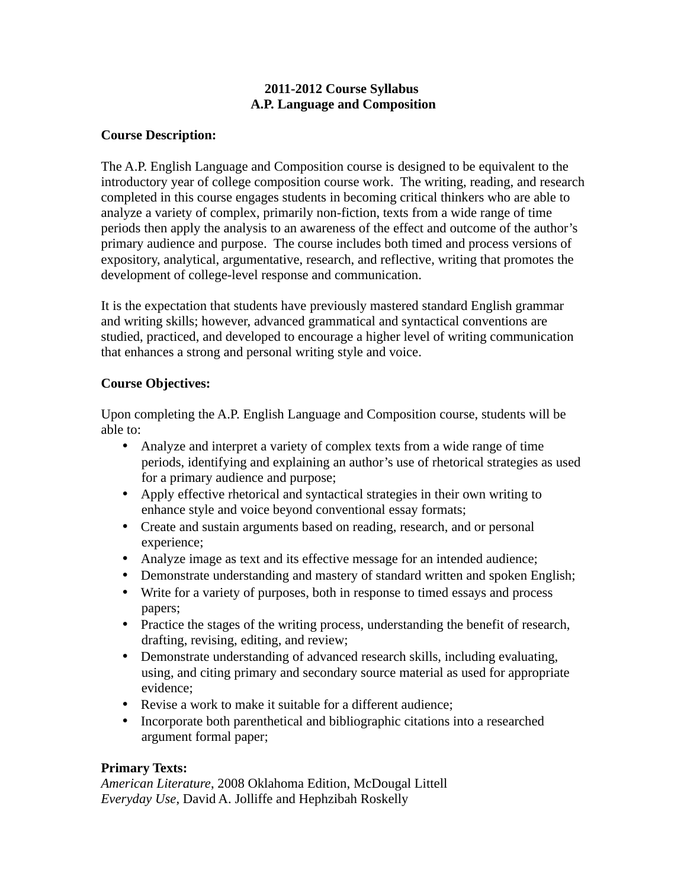# **2011-2012 Course Syllabus A.P. Language and Composition**

## **Course Description:**

The A.P. English Language and Composition course is designed to be equivalent to the introductory year of college composition course work. The writing, reading, and research completed in this course engages students in becoming critical thinkers who are able to analyze a variety of complex, primarily non-fiction, texts from a wide range of time periods then apply the analysis to an awareness of the effect and outcome of the author's primary audience and purpose. The course includes both timed and process versions of expository, analytical, argumentative, research, and reflective, writing that promotes the development of college-level response and communication.

It is the expectation that students have previously mastered standard English grammar and writing skills; however, advanced grammatical and syntactical conventions are studied, practiced, and developed to encourage a higher level of writing communication that enhances a strong and personal writing style and voice.

## **Course Objectives:**

Upon completing the A.P. English Language and Composition course, students will be able to:

- Analyze and interpret a variety of complex texts from a wide range of time periods, identifying and explaining an author's use of rhetorical strategies as used for a primary audience and purpose;
- Apply effective rhetorical and syntactical strategies in their own writing to enhance style and voice beyond conventional essay formats;
- Create and sustain arguments based on reading, research, and or personal experience;
- Analyze image as text and its effective message for an intended audience;
- Demonstrate understanding and mastery of standard written and spoken English;
- Write for a variety of purposes, both in response to timed essays and process papers;
- Practice the stages of the writing process, understanding the benefit of research, drafting, revising, editing, and review;
- Demonstrate understanding of advanced research skills, including evaluating, using, and citing primary and secondary source material as used for appropriate evidence;
- Revise a work to make it suitable for a different audience;
- Incorporate both parenthetical and bibliographic citations into a researched argument formal paper;

## **Primary Texts:**

*American Literature*, 2008 Oklahoma Edition, McDougal Littell *Everyday Use*, David A. Jolliffe and Hephzibah Roskelly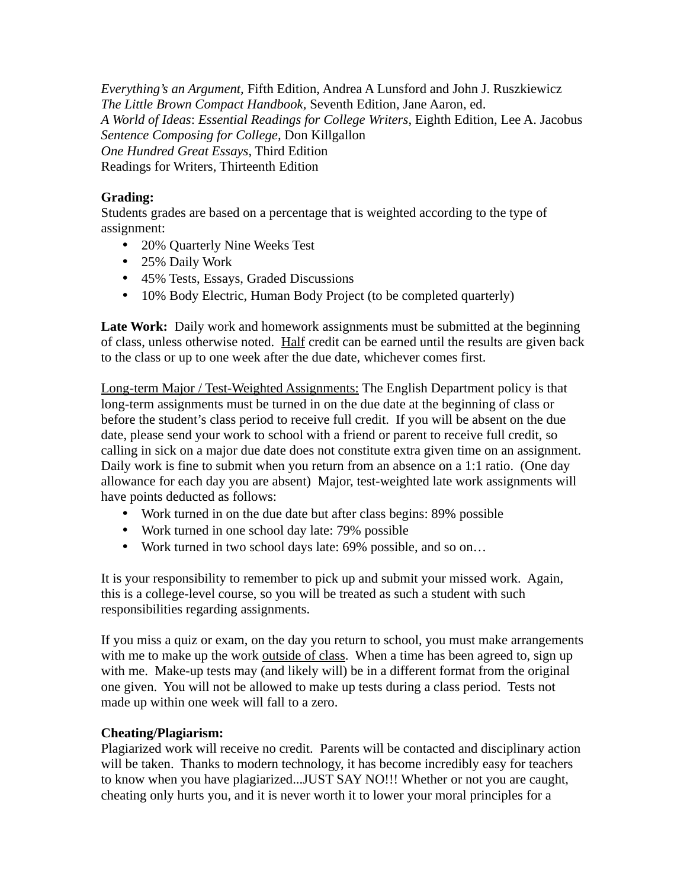*Everything's an Argument,* Fifth Edition, Andrea A Lunsford and John J. Ruszkiewicz *The Little Brown Compact Handbook,* Seventh Edition, Jane Aaron, ed. *A World of Ideas*: *Essential Readings for College Writers*, Eighth Edition, Lee A. Jacobus *Sentence Composing for College,* Don Killgallon *One Hundred Great Essays*, Third Edition Readings for Writers, Thirteenth Edition

# **Grading:**

Students grades are based on a percentage that is weighted according to the type of assignment:

- 20% Quarterly Nine Weeks Test
- 25% Daily Work
- 45% Tests, Essays, Graded Discussions
- 10% Body Electric, Human Body Project (to be completed quarterly)

**Late Work:** Daily work and homework assignments must be submitted at the beginning of class, unless otherwise noted. Half credit can be earned until the results are given back to the class or up to one week after the due date, whichever comes first.

Long-term Major / Test-Weighted Assignments: The English Department policy is that long-term assignments must be turned in on the due date at the beginning of class or before the student's class period to receive full credit. If you will be absent on the due date, please send your work to school with a friend or parent to receive full credit, so calling in sick on a major due date does not constitute extra given time on an assignment. Daily work is fine to submit when you return from an absence on a 1:1 ratio. (One day allowance for each day you are absent) Major, test-weighted late work assignments will have points deducted as follows:

- Work turned in on the due date but after class begins: 89% possible
- Work turned in one school day late: 79% possible
- Work turned in two school days late: 69% possible, and so on…

It is your responsibility to remember to pick up and submit your missed work. Again, this is a college-level course, so you will be treated as such a student with such responsibilities regarding assignments.

If you miss a quiz or exam, on the day you return to school, you must make arrangements with me to make up the work outside of class. When a time has been agreed to, sign up with me. Make-up tests may (and likely will) be in a different format from the original one given. You will not be allowed to make up tests during a class period. Tests not made up within one week will fall to a zero.

# **Cheating/Plagiarism:**

Plagiarized work will receive no credit. Parents will be contacted and disciplinary action will be taken. Thanks to modern technology, it has become incredibly easy for teachers to know when you have plagiarized...JUST SAY NO!!! Whether or not you are caught, cheating only hurts you, and it is never worth it to lower your moral principles for a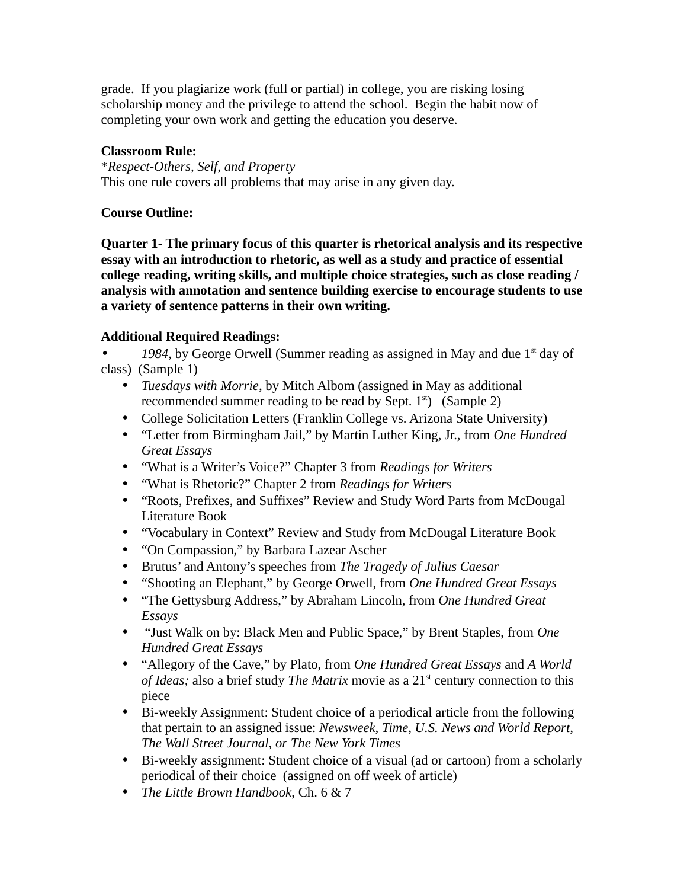grade. If you plagiarize work (full or partial) in college, you are risking losing scholarship money and the privilege to attend the school. Begin the habit now of completing your own work and getting the education you deserve.

## **Classroom Rule:**

\**Respect-Others, Self, and Property* This one rule covers all problems that may arise in any given day.

## **Course Outline:**

**Quarter 1- The primary focus of this quarter is rhetorical analysis and its respective essay with an introduction to rhetoric, as well as a study and practice of essential college reading, writing skills, and multiple choice strategies, such as close reading / analysis with annotation and sentence building exercise to encourage students to use a variety of sentence patterns in their own writing.**

# **Additional Required Readings:**

1984, by George Orwell (Summer reading as assigned in May and due 1<sup>st</sup> day of class) (Sample 1)

- *Tuesdays with Morrie*, by Mitch Albom (assigned in May as additional recommended summer reading to be read by Sept.  $1<sup>st</sup>$  (Sample 2)
- College Solicitation Letters (Franklin College vs. Arizona State University)
- "Letter from Birmingham Jail," by Martin Luther King, Jr., from *One Hundred Great Essays*
- "What is a Writer's Voice?" Chapter 3 from *Readings for Writers*
- "What is Rhetoric?" Chapter 2 from *Readings for Writers*
- "Roots, Prefixes, and Suffixes" Review and Study Word Parts from McDougal Literature Book
- "Vocabulary in Context" Review and Study from McDougal Literature Book
- "On Compassion," by Barbara Lazear Ascher
- Brutus' and Antony's speeches from *The Tragedy of Julius Caesar*
- "Shooting an Elephant," by George Orwell, from *One Hundred Great Essays*
- "The Gettysburg Address," by Abraham Lincoln, from *One Hundred Great Essays*
- "Just Walk on by: Black Men and Public Space," by Brent Staples, from *One Hundred Great Essays*
- "Allegory of the Cave," by Plato, from *One Hundred Great Essays* and *A World of Ideas;* also a brief study *The Matrix* movie as a 21<sup>st</sup> century connection to this piece
- Bi-weekly Assignment: Student choice of a periodical article from the following that pertain to an assigned issue: *Newsweek, Time, U.S. News and World Report, The Wall Street Journal, or The New York Times*
- Bi-weekly assignment: Student choice of a visual (ad or cartoon) from a scholarly periodical of their choice (assigned on off week of article)
- *The Little Brown Handbook*, Ch. 6 & 7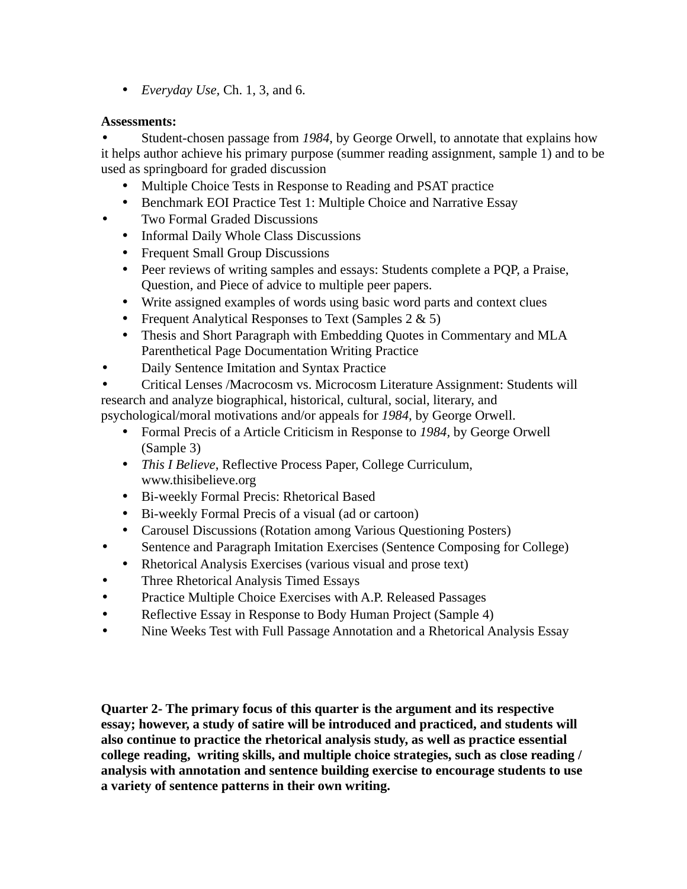• *Everyday Use,* Ch. 1, 3, and 6.

## **Assessments:**

• Student-chosen passage from *1984*, by George Orwell, to annotate that explains how it helps author achieve his primary purpose (summer reading assignment, sample 1) and to be used as springboard for graded discussion

- Multiple Choice Tests in Response to Reading and PSAT practice
- Benchmark EOI Practice Test 1: Multiple Choice and Narrative Essay
- Two Formal Graded Discussions
	- Informal Daily Whole Class Discussions
	- Frequent Small Group Discussions
	- Peer reviews of writing samples and essays: Students complete a PQP, a Praise, Question, and Piece of advice to multiple peer papers.
	- Write assigned examples of words using basic word parts and context clues
	- Frequent Analytical Responses to Text (Samples 2 & 5)
	- Thesis and Short Paragraph with Embedding Quotes in Commentary and MLA Parenthetical Page Documentation Writing Practice
- Daily Sentence Imitation and Syntax Practice
- Critical Lenses /Macrocosm vs. Microcosm Literature Assignment: Students will research and analyze biographical, historical, cultural, social, literary, and

psychological/moral motivations and/or appeals for *1984,* by George Orwell.

- Formal Precis of a Article Criticism in Response to *1984,* by George Orwell (Sample 3)
- *This I Believe*, Reflective Process Paper, College Curriculum, www.thisibelieve.org
- Bi-weekly Formal Precis: Rhetorical Based
- Bi-weekly Formal Precis of a visual (ad or cartoon)
- Carousel Discussions (Rotation among Various Questioning Posters)
- Sentence and Paragraph Imitation Exercises (Sentence Composing for College)
	- Rhetorical Analysis Exercises (various visual and prose text)
- Three Rhetorical Analysis Timed Essays
- Practice Multiple Choice Exercises with A.P. Released Passages
- Reflective Essay in Response to Body Human Project (Sample 4)
- Nine Weeks Test with Full Passage Annotation and a Rhetorical Analysis Essay

**Quarter 2- The primary focus of this quarter is the argument and its respective essay; however, a study of satire will be introduced and practiced, and students will also continue to practice the rhetorical analysis study, as well as practice essential college reading, writing skills, and multiple choice strategies, such as close reading / analysis with annotation and sentence building exercise to encourage students to use a variety of sentence patterns in their own writing.**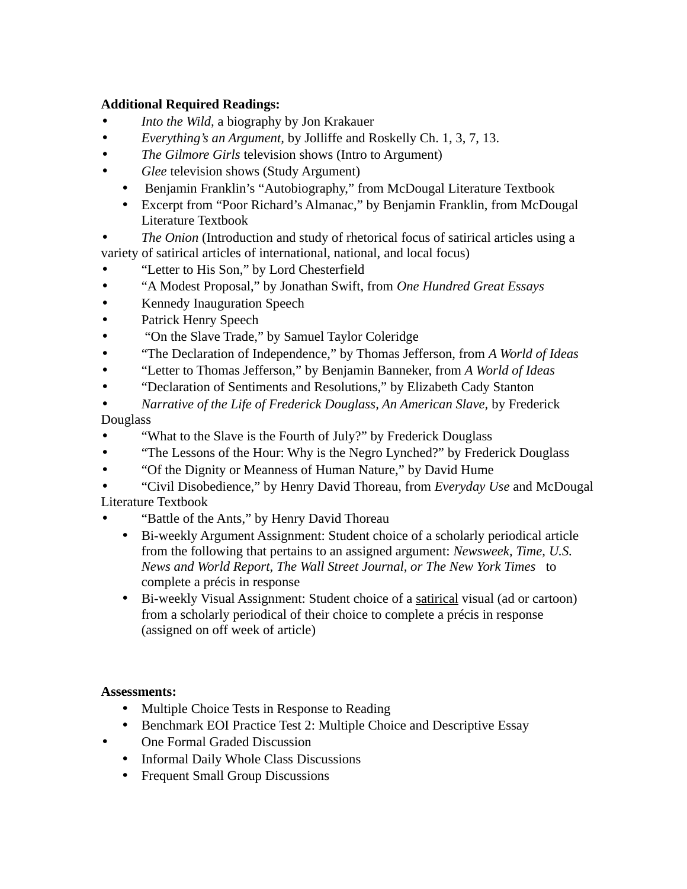# **Additional Required Readings:**

- *Into the Wild,* a biography by Jon Krakauer
- *Everything's an Argument,* by Jolliffe and Roskelly Ch. 1, 3, 7, 13.
- *The Gilmore Girls* television shows (Intro to Argument)
- *Glee* television shows (Study Argument)
	- Benjamin Franklin's "Autobiography," from McDougal Literature Textbook
	- Excerpt from "Poor Richard's Almanac," by Benjamin Franklin, from McDougal Literature Textbook
- *The Onion* (Introduction and study of rhetorical focus of satirical articles using a variety of satirical articles of international, national, and local focus)
- "Letter to His Son," by Lord Chesterfield
- "A Modest Proposal," by Jonathan Swift, from *One Hundred Great Essays*
- Kennedy Inauguration Speech
- Patrick Henry Speech
- "On the Slave Trade," by Samuel Taylor Coleridge
- "The Declaration of Independence," by Thomas Jefferson, from *A World of Ideas*
- "Letter to Thomas Jefferson," by Benjamin Banneker, from *A World of Ideas*
- "Declaration of Sentiments and Resolutions," by Elizabeth Cady Stanton
- *Narrative of the Life of Frederick Douglass, An American Slave,* by Frederick Douglass
- "What to the Slave is the Fourth of July?" by Frederick Douglass
- "The Lessons of the Hour: Why is the Negro Lynched?" by Frederick Douglass
- "Of the Dignity or Meanness of Human Nature," by David Hume
- "Civil Disobedience," by Henry David Thoreau, from *Everyday Use* and McDougal Literature Textbook
- "Battle of the Ants," by Henry David Thoreau
	- Bi-weekly Argument Assignment: Student choice of a scholarly periodical article from the following that pertains to an assigned argument: *Newsweek, Time, U.S. News and World Report, The Wall Street Journal, or The New York Times* to complete a précis in response
	- Bi-weekly Visual Assignment: Student choice of a satirical visual (ad or cartoon) from a scholarly periodical of their choice to complete a précis in response (assigned on off week of article)

# **Assessments:**

- Multiple Choice Tests in Response to Reading
- Benchmark EOI Practice Test 2: Multiple Choice and Descriptive Essay
- One Formal Graded Discussion
	- Informal Daily Whole Class Discussions
	- Frequent Small Group Discussions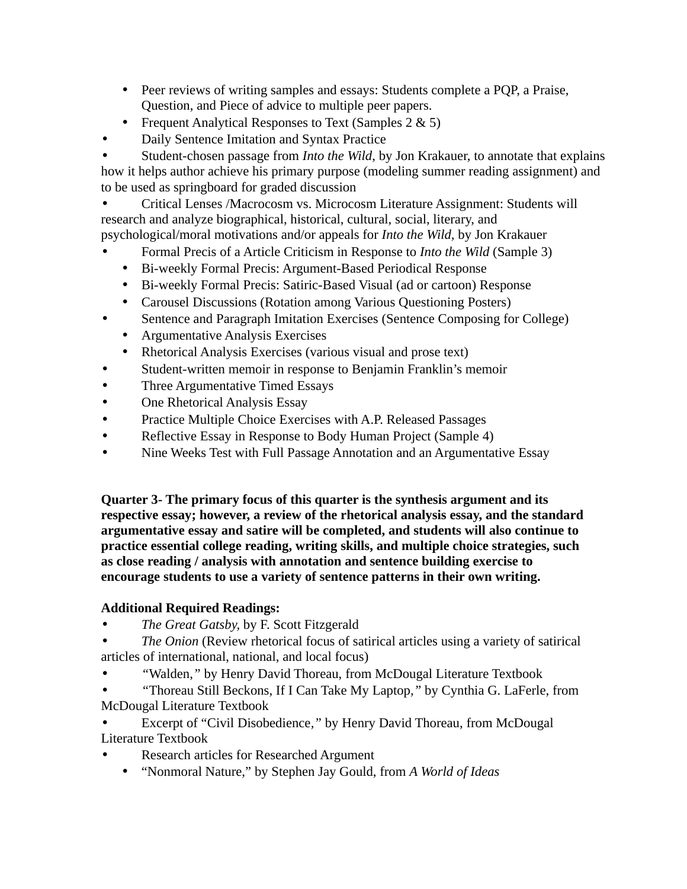- Peer reviews of writing samples and essays: Students complete a PQP, a Praise, Question, and Piece of advice to multiple peer papers.
- Frequent Analytical Responses to Text (Samples 2 & 5)
- Daily Sentence Imitation and Syntax Practice

• Student-chosen passage from *Into the Wild*, by Jon Krakauer, to annotate that explains how it helps author achieve his primary purpose (modeling summer reading assignment) and to be used as springboard for graded discussion

• Critical Lenses /Macrocosm vs. Microcosm Literature Assignment: Students will research and analyze biographical, historical, cultural, social, literary, and psychological/moral motivations and/or appeals for *Into the Wild,* by Jon Krakauer

- Formal Precis of a Article Criticism in Response to *Into the Wild* (Sample 3)
	- Bi-weekly Formal Precis: Argument-Based Periodical Response
	- Bi-weekly Formal Precis: Satiric-Based Visual (ad or cartoon) Response
	- Carousel Discussions (Rotation among Various Questioning Posters)
- Sentence and Paragraph Imitation Exercises (Sentence Composing for College)
	- Argumentative Analysis Exercises
	- Rhetorical Analysis Exercises (various visual and prose text)
- Student-written memoir in response to Benjamin Franklin's memoir
- Three Argumentative Timed Essays
- One Rhetorical Analysis Essay
- Practice Multiple Choice Exercises with A.P. Released Passages
- Reflective Essay in Response to Body Human Project (Sample 4)
- Nine Weeks Test with Full Passage Annotation and an Argumentative Essay

**Quarter 3- The primary focus of this quarter is the synthesis argument and its respective essay; however, a review of the rhetorical analysis essay, and the standard argumentative essay and satire will be completed, and students will also continue to practice essential college reading, writing skills, and multiple choice strategies, such as close reading / analysis with annotation and sentence building exercise to encourage students to use a variety of sentence patterns in their own writing.**

# **Additional Required Readings:**

- *The Great Gatsby,* by F. Scott Fitzgerald
- *The Onion* (Review rhetorical focus of satirical articles using a variety of satirical articles of international, national, and local focus)
- *"*Walden*,"* by Henry David Thoreau, from McDougal Literature Textbook
- *"*Thoreau Still Beckons, If I Can Take My Laptop*,"* by Cynthia G. LaFerle, from McDougal Literature Textbook
- Excerpt of "Civil Disobedience*,"* by Henry David Thoreau, from McDougal Literature Textbook
- Research articles for Researched Argument
	- "Nonmoral Nature," by Stephen Jay Gould, from *A World of Ideas*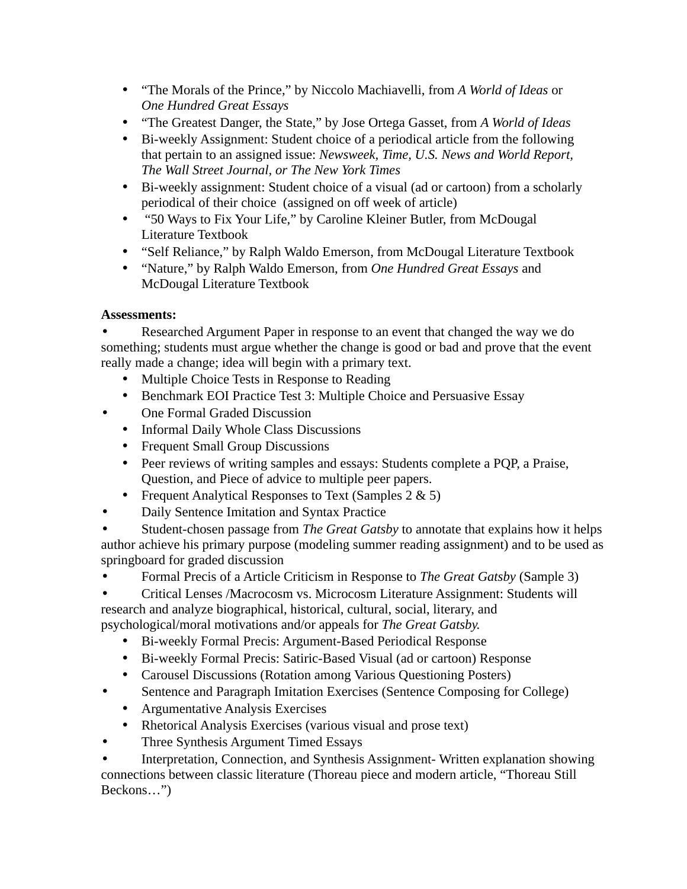- "The Morals of the Prince," by Niccolo Machiavelli, from *A World of Ideas* or *One Hundred Great Essays*
- "The Greatest Danger, the State," by Jose Ortega Gasset, from *A World of Ideas*
- Bi-weekly Assignment: Student choice of a periodical article from the following that pertain to an assigned issue: *Newsweek, Time, U.S. News and World Report, The Wall Street Journal, or The New York Times*
- Bi-weekly assignment: Student choice of a visual (ad or cartoon) from a scholarly periodical of their choice (assigned on off week of article)
- "50 Ways to Fix Your Life," by Caroline Kleiner Butler, from McDougal Literature Textbook
- "Self Reliance," by Ralph Waldo Emerson, from McDougal Literature Textbook
- "Nature," by Ralph Waldo Emerson, from *One Hundred Great Essays* and McDougal Literature Textbook

# **Assessments:**

• Researched Argument Paper in response to an event that changed the way we do something; students must argue whether the change is good or bad and prove that the event really made a change; idea will begin with a primary text.

- Multiple Choice Tests in Response to Reading
- Benchmark EOI Practice Test 3: Multiple Choice and Persuasive Essay
- One Formal Graded Discussion
	- Informal Daily Whole Class Discussions
	- Frequent Small Group Discussions
	- Peer reviews of writing samples and essays: Students complete a PQP, a Praise, Question, and Piece of advice to multiple peer papers.
	- Frequent Analytical Responses to Text (Samples 2 & 5)
- Daily Sentence Imitation and Syntax Practice

• Student-chosen passage from *The Great Gatsby* to annotate that explains how it helps author achieve his primary purpose (modeling summer reading assignment) and to be used as springboard for graded discussion

• Formal Precis of a Article Criticism in Response to *The Great Gatsby* (Sample 3)

• Critical Lenses /Macrocosm vs. Microcosm Literature Assignment: Students will research and analyze biographical, historical, cultural, social, literary, and psychological/moral motivations and/or appeals for *The Great Gatsby.*

- Bi-weekly Formal Precis: Argument-Based Periodical Response
- Bi-weekly Formal Precis: Satiric-Based Visual (ad or cartoon) Response
- Carousel Discussions (Rotation among Various Questioning Posters)
- Sentence and Paragraph Imitation Exercises (Sentence Composing for College)
	- Argumentative Analysis Exercises
	- Rhetorical Analysis Exercises (various visual and prose text)
- Three Synthesis Argument Timed Essays

• Interpretation, Connection, and Synthesis Assignment- Written explanation showing connections between classic literature (Thoreau piece and modern article, "Thoreau Still Beckons…")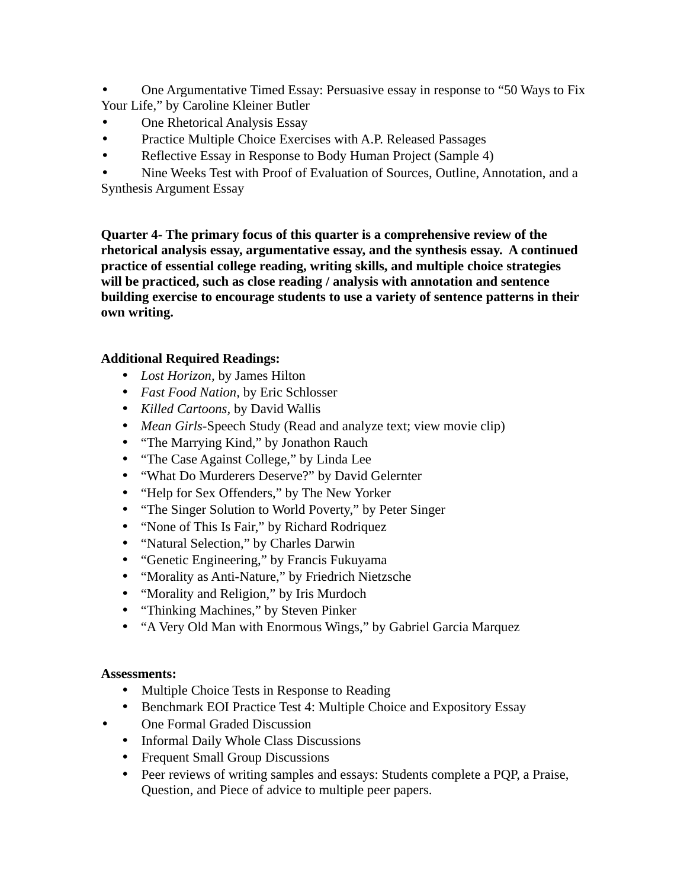• One Argumentative Timed Essay: Persuasive essay in response to "50 Ways to Fix Your Life," by Caroline Kleiner Butler

- One Rhetorical Analysis Essay
- Practice Multiple Choice Exercises with A.P. Released Passages
- Reflective Essay in Response to Body Human Project (Sample 4)

• Nine Weeks Test with Proof of Evaluation of Sources, Outline, Annotation, and a Synthesis Argument Essay

**Quarter 4- The primary focus of this quarter is a comprehensive review of the rhetorical analysis essay, argumentative essay, and the synthesis essay. A continued practice of essential college reading, writing skills, and multiple choice strategies will be practiced, such as close reading / analysis with annotation and sentence building exercise to encourage students to use a variety of sentence patterns in their own writing.** 

## **Additional Required Readings:**

- *Lost Horizon,* by James Hilton
- *Fast Food Nation,* by Eric Schlosser
- *Killed Cartoons,* by David Wallis
- *Mean Girls-*Speech Study (Read and analyze text; view movie clip)
- "The Marrying Kind," by Jonathon Rauch
- "The Case Against College," by Linda Lee
- "What Do Murderers Deserve?" by David Gelernter
- "Help for Sex Offenders," by The New Yorker
- "The Singer Solution to World Poverty," by Peter Singer
- "None of This Is Fair," by Richard Rodriquez
- "Natural Selection," by Charles Darwin
- "Genetic Engineering," by Francis Fukuyama
- "Morality as Anti-Nature," by Friedrich Nietzsche
- "Morality and Religion," by Iris Murdoch
- "Thinking Machines," by Steven Pinker
- "A Very Old Man with Enormous Wings," by Gabriel Garcia Marquez

## **Assessments:**

- Multiple Choice Tests in Response to Reading
- Benchmark EOI Practice Test 4: Multiple Choice and Expository Essay
- One Formal Graded Discussion
	- Informal Daily Whole Class Discussions
	- Frequent Small Group Discussions
	- Peer reviews of writing samples and essays: Students complete a PQP, a Praise, Question, and Piece of advice to multiple peer papers.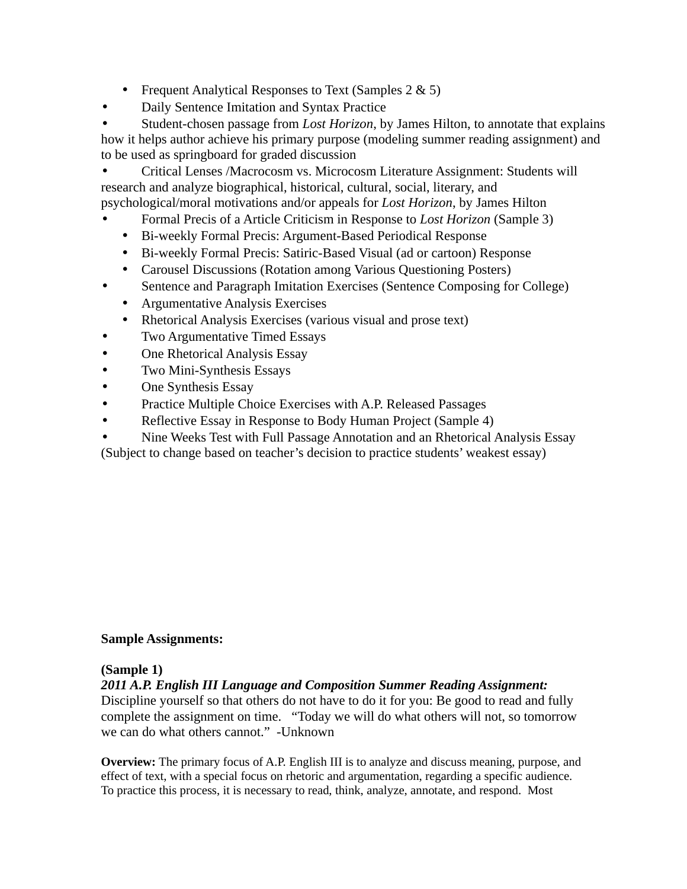- Frequent Analytical Responses to Text (Samples 2 & 5)
- Daily Sentence Imitation and Syntax Practice

• Student-chosen passage from *Lost Horizon*, by James Hilton, to annotate that explains how it helps author achieve his primary purpose (modeling summer reading assignment) and to be used as springboard for graded discussion

• Critical Lenses /Macrocosm vs. Microcosm Literature Assignment: Students will research and analyze biographical, historical, cultural, social, literary, and psychological/moral motivations and/or appeals for *Lost Horizon*, by James Hilton

- Formal Precis of a Article Criticism in Response to *Lost Horizon* (Sample 3)
	- Bi-weekly Formal Precis: Argument-Based Periodical Response
	- Bi-weekly Formal Precis: Satiric-Based Visual (ad or cartoon) Response
- Carousel Discussions (Rotation among Various Questioning Posters)
- Sentence and Paragraph Imitation Exercises (Sentence Composing for College)
	- Argumentative Analysis Exercises
	- Rhetorical Analysis Exercises (various visual and prose text)
- Two Argumentative Timed Essays
- One Rhetorical Analysis Essay
- Two Mini-Synthesis Essays
- One Synthesis Essay
- Practice Multiple Choice Exercises with A.P. Released Passages
- Reflective Essay in Response to Body Human Project (Sample 4)
- Nine Weeks Test with Full Passage Annotation and an Rhetorical Analysis Essay
- (Subject to change based on teacher's decision to practice students' weakest essay)

## **Sample Assignments:**

## **(Sample 1)**

*2011 A.P. English III Language and Composition Summer Reading Assignment:* 

Discipline yourself so that others do not have to do it for you: Be good to read and fully complete the assignment on time. "Today we will do what others will not, so tomorrow we can do what others cannot." -Unknown

**Overview:** The primary focus of A.P. English III is to analyze and discuss meaning, purpose, and effect of text, with a special focus on rhetoric and argumentation, regarding a specific audience. To practice this process, it is necessary to read, think, analyze, annotate, and respond. Most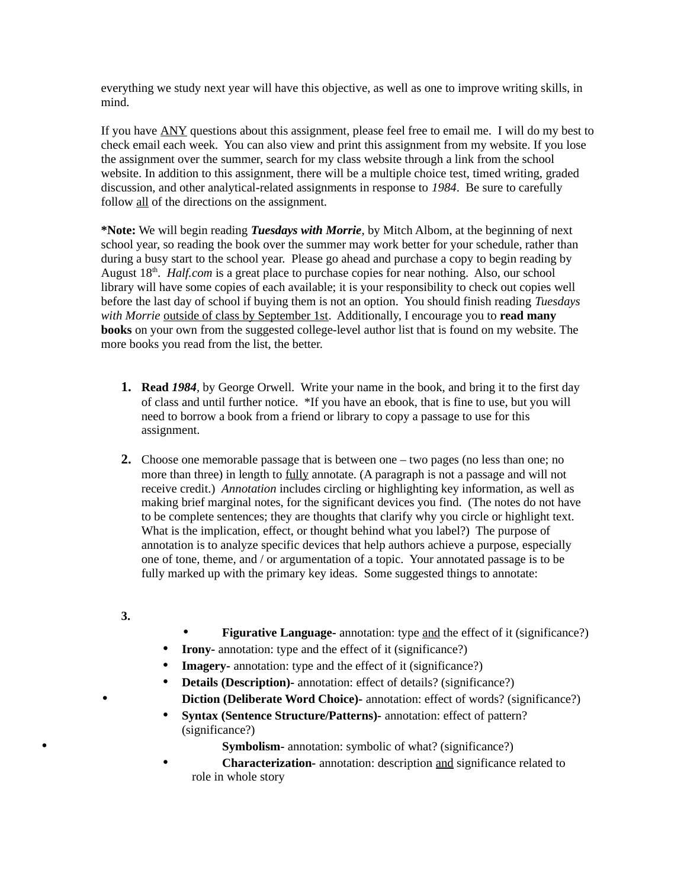everything we study next year will have this objective, as well as one to improve writing skills, in mind.

If you have ANY questions about this assignment, please feel free to email me. I will do my best to check email each week. You can also view and print this assignment from my website. If you lose the assignment over the summer, search for my class website through a link from the school website. In addition to this assignment, there will be a multiple choice test, timed writing, graded discussion, and other analytical-related assignments in response to *1984*. Be sure to carefully follow all of the directions on the assignment.

**\*Note:** We will begin reading *Tuesdays with Morrie*, by Mitch Albom, at the beginning of next school year, so reading the book over the summer may work better for your schedule, rather than during a busy start to the school year. Please go ahead and purchase a copy to begin reading by August 18<sup>th</sup>. *Half.com* is a great place to purchase copies for near nothing. Also, our school library will have some copies of each available; it is your responsibility to check out copies well before the last day of school if buying them is not an option. You should finish reading *Tuesdays with Morrie* outside of class by September 1st. Additionally, I encourage you to **read many books** on your own from the suggested college-level author list that is found on my website. The more books you read from the list, the better.

- **1. Read** *1984*, by George Orwell. Write your name in the book, and bring it to the first day of class and until further notice. \*If you have an ebook, that is fine to use, but you will need to borrow a book from a friend or library to copy a passage to use for this assignment.
- **2.** Choose one memorable passage that is between one two pages (no less than one; no more than three) in length to **fully** annotate. (A paragraph is not a passage and will not receive credit.) *Annotation* includes circling or highlighting key information, as well as making brief marginal notes, for the significant devices you find. (The notes do not have to be complete sentences; they are thoughts that clarify why you circle or highlight text. What is the implication, effect, or thought behind what you label?) The purpose of annotation is to analyze specific devices that help authors achieve a purpose, especially one of tone, theme, and / or argumentation of a topic. Your annotated passage is to be fully marked up with the primary key ideas. Some suggested things to annotate:
- **3.**
- **Figurative Language-** annotation: type and the effect of it (significance?)
- **Irony** annotation: type and the effect of it (significance?)
- **Imagery-** annotation: type and the effect of it (significance?)
- **Details (Description)-** annotation: effect of details? (significance?) **Diction (Deliberate Word Choice)-** annotation: effect of words? (significance?)
- **Syntax (Sentence Structure/Patterns)-** annotation: effect of pattern? (significance?)

• **Symbolism-** annotation: symbolic of what? (significance?)

• **Characterization-** annotation: description and significance related to role in whole story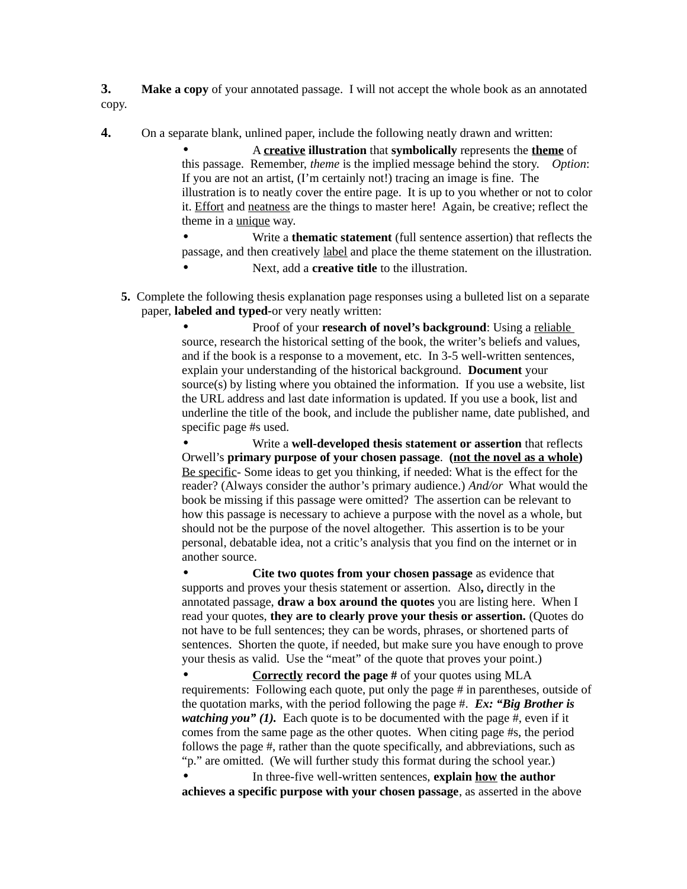**3. Make a copy** of your annotated passage. I will not accept the whole book as an annotated copy.

**4.** On a separate blank, unlined paper, include the following neatly drawn and written:

• A **creative illustration** that **symbolically** represents the **theme** of this passage. Remember, *theme* is the implied message behind the story. *Option*: If you are not an artist, (I'm certainly not!) tracing an image is fine. The illustration is to neatly cover the entire page. It is up to you whether or not to color it. Effort and neatness are the things to master here! Again, be creative; reflect the theme in a unique way.

• Write a **thematic statement** (full sentence assertion) that reflects the passage, and then creatively label and place the theme statement on the illustration.

- Next, add a **creative title** to the illustration.
- **5.** Complete the following thesis explanation page responses using a bulleted list on a separate paper, **labeled and typed-**or very neatly written:

• Proof of your **research of novel's background**: Using a reliable source, research the historical setting of the book, the writer's beliefs and values, and if the book is a response to a movement, etc. In 3-5 well-written sentences, explain your understanding of the historical background. **Document** your source(s) by listing where you obtained the information. If you use a website, list the URL address and last date information is updated. If you use a book, list and underline the title of the book, and include the publisher name, date published, and specific page #s used.

• Write a **well-developed thesis statement or assertion** that reflects Orwell's **primary purpose of your chosen passage**. **(not the novel as a whole)** Be specific- Some ideas to get you thinking, if needed: What is the effect for the reader? (Always consider the author's primary audience.) *And/or* What would the book be missing if this passage were omitted? The assertion can be relevant to how this passage is necessary to achieve a purpose with the novel as a whole, but should not be the purpose of the novel altogether. This assertion is to be your personal, debatable idea, not a critic's analysis that you find on the internet or in another source.

• **Cite two quotes from your chosen passage** as evidence that supports and proves your thesis statement or assertion. Also**,** directly in the annotated passage, **draw a box around the quotes** you are listing here. When I read your quotes, **they are to clearly prove your thesis or assertion.** (Quotes do not have to be full sentences; they can be words, phrases, or shortened parts of sentences. Shorten the quote, if needed, but make sure you have enough to prove your thesis as valid. Use the "meat" of the quote that proves your point.)

• **Correctly record the page #** of your quotes using MLA requirements: Following each quote, put only the page # in parentheses, outside of the quotation marks, with the period following the page #. *Ex: "Big Brother is watching you" (1).* Each quote is to be documented with the page #, even if it comes from the same page as the other quotes. When citing page #s, the period follows the page #, rather than the quote specifically, and abbreviations, such as "p." are omitted. (We will further study this format during the school year.)

• In three-five well-written sentences, **explain how the author achieves a specific purpose with your chosen passage**, as asserted in the above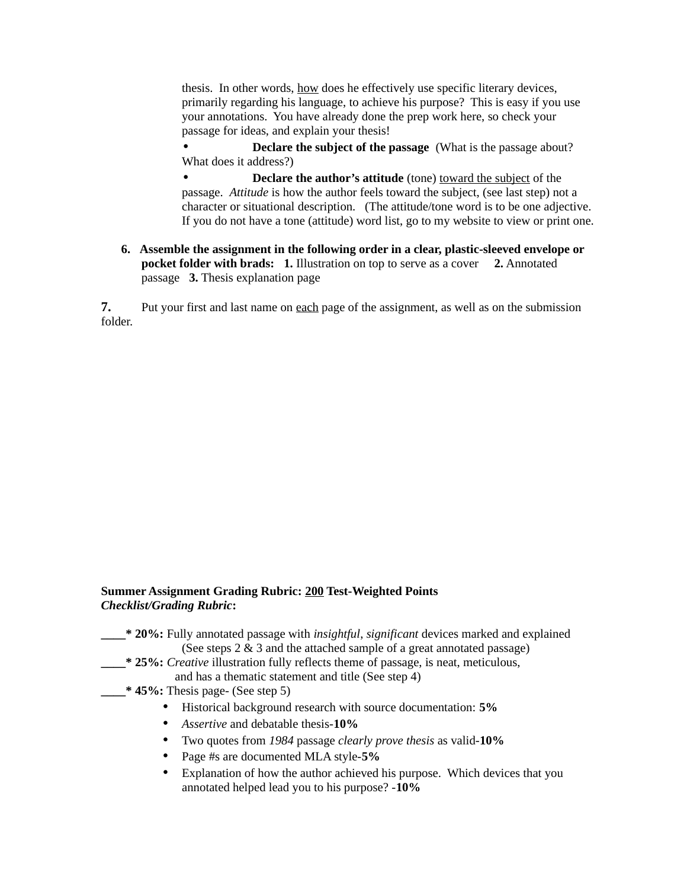thesis. In other words, how does he effectively use specific literary devices, primarily regarding his language, to achieve his purpose? This is easy if you use your annotations. You have already done the prep work here, so check your passage for ideas, and explain your thesis!

• **Declare the subject of the passage** (What is the passage about? What does it address?)

**Declare the author's attitude** (tone) toward the subject of the passage. *Attitude* is how the author feels toward the subject, (see last step) not a character or situational description. (The attitude/tone word is to be one adjective. If you do not have a tone (attitude) word list, go to my website to view or print one.

**6. Assemble the assignment in the following order in a clear, plastic-sleeved envelope or pocket folder with brads: 1.** Illustration on top to serve as a cover **2.** Annotated passage **3.** Thesis explanation page

**7.** Put your first and last name on each page of the assignment, as well as on the submission folder.

#### **Summer Assignment Grading Rubric: 200 Test-Weighted Points**  *Checklist/Grading Rubric***:**

- **\_\_\_\_\* 20%:** Fully annotated passage with *insightful*, *significant* devices marked and explained (See steps 2 & 3 and the attached sample of a great annotated passage)
	- **\_\_\_\_\* 25%:** *Creative* illustration fully reflects theme of passage, is neat, meticulous, and has a thematic statement and title (See step 4)
- **\_\_\_\_\* 45%:** Thesis page- (See step 5)
	- Historical background research with source documentation: **5%**
	- *Assertive* and debatable thesis-**10%**
	- Two quotes from *1984* passage *clearly prove thesis* as valid-**10%**
	- Page #s are documented MLA style-**5%**
	- Explanation of how the author achieved his purpose. Which devices that you annotated helped lead you to his purpose? -**10%**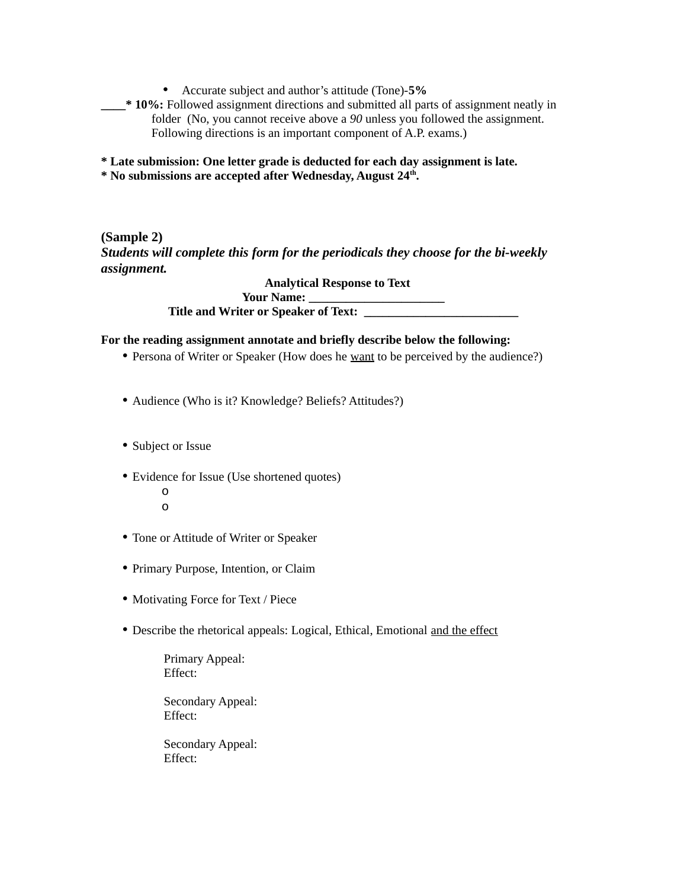• Accurate subject and author's attitude (Tone)-**5%**

**\_\_\_\_\* 10%:** Followed assignment directions and submitted all parts of assignment neatly in folder (No, you cannot receive above a *90* unless you followed the assignment. Following directions is an important component of A.P. exams.)

**\* Late submission: One letter grade is deducted for each day assignment is late.** 

**\* No submissions are accepted after Wednesday, August 24th .**

**(Sample 2)** *Students will complete this form for the periodicals they choose for the bi-weekly assignment.* 

> **Analytical Response to Text Your Name: \_\_\_\_\_\_\_\_\_\_\_\_\_\_\_\_\_\_\_\_\_\_ Title and Writer or Speaker of Text: \_\_\_\_\_\_\_\_\_\_\_\_\_\_\_\_\_\_\_\_\_\_\_\_\_**

### **For the reading assignment annotate and briefly describe below the following:**

- Persona of Writer or Speaker (How does he <u>want</u> to be perceived by the audience?)
- Audience (Who is it? Knowledge? Beliefs? Attitudes?)
- Subject or Issue
- Evidence for Issue (Use shortened quotes)
	- o o
- Tone or Attitude of Writer or Speaker
- Primary Purpose, Intention, or Claim
- Motivating Force for Text / Piece
- Describe the rhetorical appeals: Logical, Ethical, Emotional and the effect

Primary Appeal: Effect:

Secondary Appeal: Effect:

Secondary Appeal: Effect: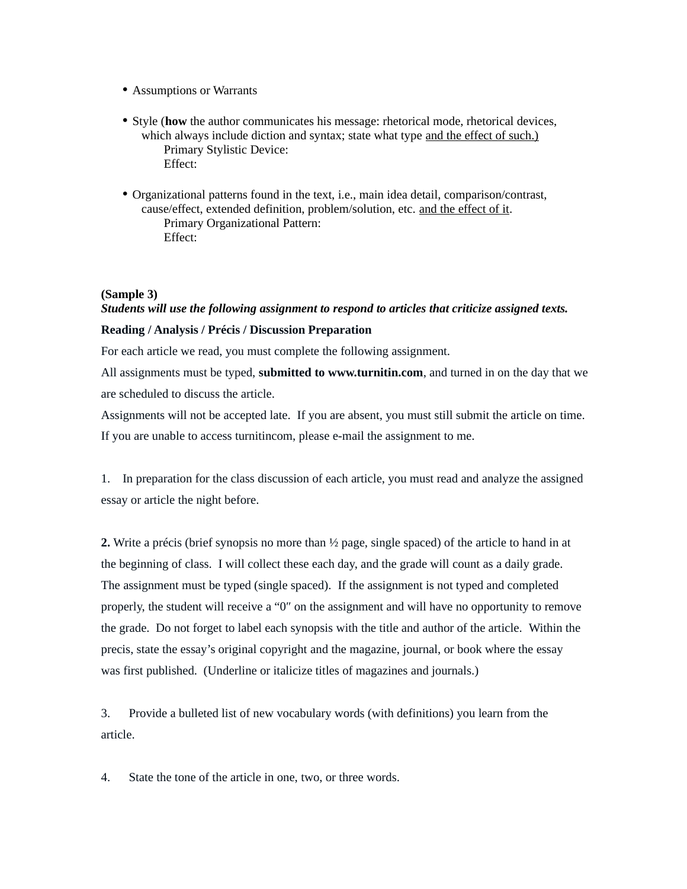- Assumptions or Warrants
- Style (**how** the author communicates his message: rhetorical mode, rhetorical devices, which always include diction and syntax; state what type and the effect of such.) Primary Stylistic Device: Effect:
- Organizational patterns found in the text, i.e., main idea detail, comparison/contrast, cause/effect, extended definition, problem/solution, etc. and the effect of it. Primary Organizational Pattern: Effect:

#### **(Sample 3)**

# *Students will use the following assignment to respond to articles that criticize assigned texts.*

## **Reading / Analysis / Précis / Discussion Preparation**

For each article we read, you must complete the following assignment.

All assignments must be typed, **submitted to www.turnitin.com**, and turned in on the day that we are scheduled to discuss the article.

Assignments will not be accepted late. If you are absent, you must still submit the article on time. If you are unable to access turnitincom, please e-mail the assignment to me.

1. In preparation for the class discussion of each article, you must read and analyze the assigned essay or article the night before.

**2.** Write a précis (brief synopsis no more than ½ page, single spaced) of the article to hand in at the beginning of class. I will collect these each day, and the grade will count as a daily grade. The assignment must be typed (single spaced). If the assignment is not typed and completed properly, the student will receive a "0″ on the assignment and will have no opportunity to remove the grade. Do not forget to label each synopsis with the title and author of the article. Within the precis, state the essay's original copyright and the magazine, journal, or book where the essay was first published. (Underline or italicize titles of magazines and journals.)

3. Provide a bulleted list of new vocabulary words (with definitions) you learn from the article.

4. State the tone of the article in one, two, or three words.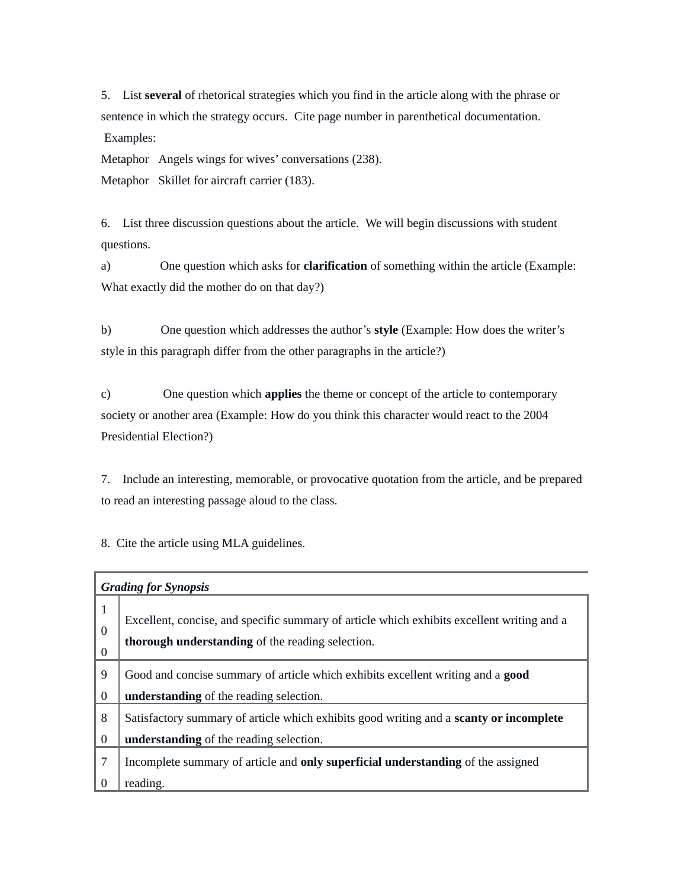5. List **several** of rhetorical strategies which you find in the article along with the phrase or sentence in which the strategy occurs. Cite page number in parenthetical documentation. Examples:

Metaphor Angels wings for wives' conversations (238). Metaphor Skillet for aircraft carrier (183).

6. List three discussion questions about the article. We will begin discussions with student questions.

a) One question which asks for **clarification** of something within the article (Example: What exactly did the mother do on that day?)

b) One question which addresses the author's **style** (Example: How does the writer's style in this paragraph differ from the other paragraphs in the article?)

c) One question which **applies** the theme or concept of the article to contemporary society or another area (Example: How do you think this character would react to the 2004 Presidential Election?)

7. Include an interesting, memorable, or provocative quotation from the article, and be prepared to read an interesting passage aloud to the class.

8. Cite the article using MLA guidelines.

| <b>Grading for Synopsis</b> |                                                                                                                                                |
|-----------------------------|------------------------------------------------------------------------------------------------------------------------------------------------|
| $\mathbf{1}$<br>$\Omega$    | Excellent, concise, and specific summary of article which exhibits excellent writing and a<br>thorough understanding of the reading selection. |
| $\overline{0}$              |                                                                                                                                                |
| 9                           | Good and concise summary of article which exhibits excellent writing and a <b>good</b>                                                         |
| $\bf{0}$                    | understanding of the reading selection.                                                                                                        |
| 8                           | Satisfactory summary of article which exhibits good writing and a scanty or incomplete                                                         |
| $\bf{0}$                    | understanding of the reading selection.                                                                                                        |
| 7                           | Incomplete summary of article and only superficial understanding of the assigned                                                               |
|                             | reading.                                                                                                                                       |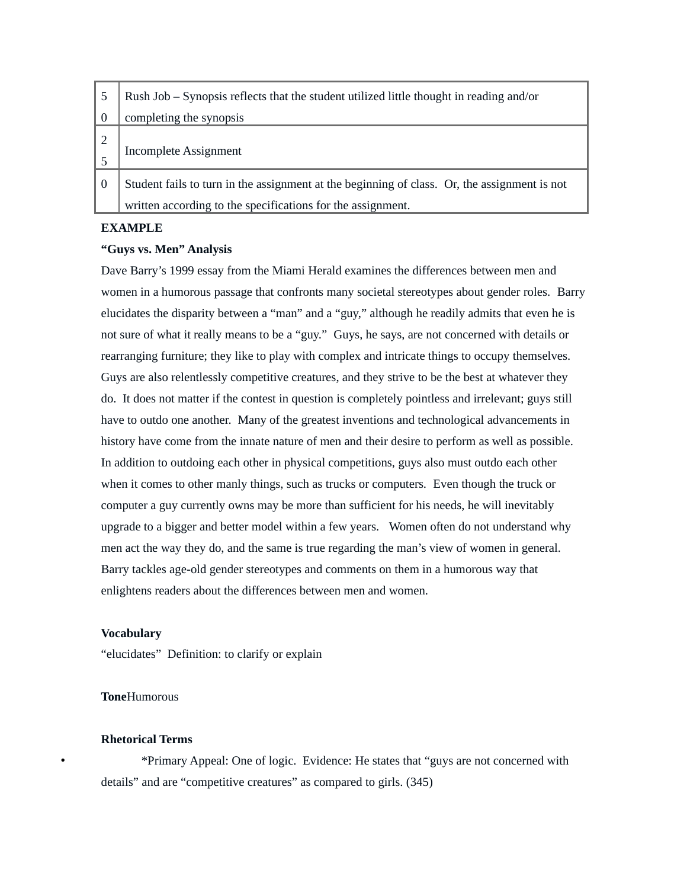| - 5            | Rush Job – Synopsis reflects that the student utilized little thought in reading and/or                                                                     |
|----------------|-------------------------------------------------------------------------------------------------------------------------------------------------------------|
| $\bf{0}$       | completing the synopsis                                                                                                                                     |
|                | <b>Incomplete Assignment</b>                                                                                                                                |
| $\overline{0}$ | Student fails to turn in the assignment at the beginning of class. Or, the assignment is not<br>written according to the specifications for the assignment. |

#### **EXAMPLE**

#### **"Guys vs. Men" Analysis**

Dave Barry's 1999 essay from the Miami Herald examines the differences between men and women in a humorous passage that confronts many societal stereotypes about gender roles. Barry elucidates the disparity between a "man" and a "guy," although he readily admits that even he is not sure of what it really means to be a "guy." Guys, he says, are not concerned with details or rearranging furniture; they like to play with complex and intricate things to occupy themselves. Guys are also relentlessly competitive creatures, and they strive to be the best at whatever they do. It does not matter if the contest in question is completely pointless and irrelevant; guys still have to outdo one another. Many of the greatest inventions and technological advancements in history have come from the innate nature of men and their desire to perform as well as possible. In addition to outdoing each other in physical competitions, guys also must outdo each other when it comes to other manly things, such as trucks or computers. Even though the truck or computer a guy currently owns may be more than sufficient for his needs, he will inevitably upgrade to a bigger and better model within a few years. Women often do not understand why men act the way they do, and the same is true regarding the man's view of women in general. Barry tackles age-old gender stereotypes and comments on them in a humorous way that enlightens readers about the differences between men and women.

#### **Vocabulary**

"elucidates" Definition: to clarify or explain

#### **Tone**Humorous

#### **Rhetorical Terms**

• \*Primary Appeal: One of logic. Evidence: He states that "guys are not concerned with details" and are "competitive creatures" as compared to girls. (345)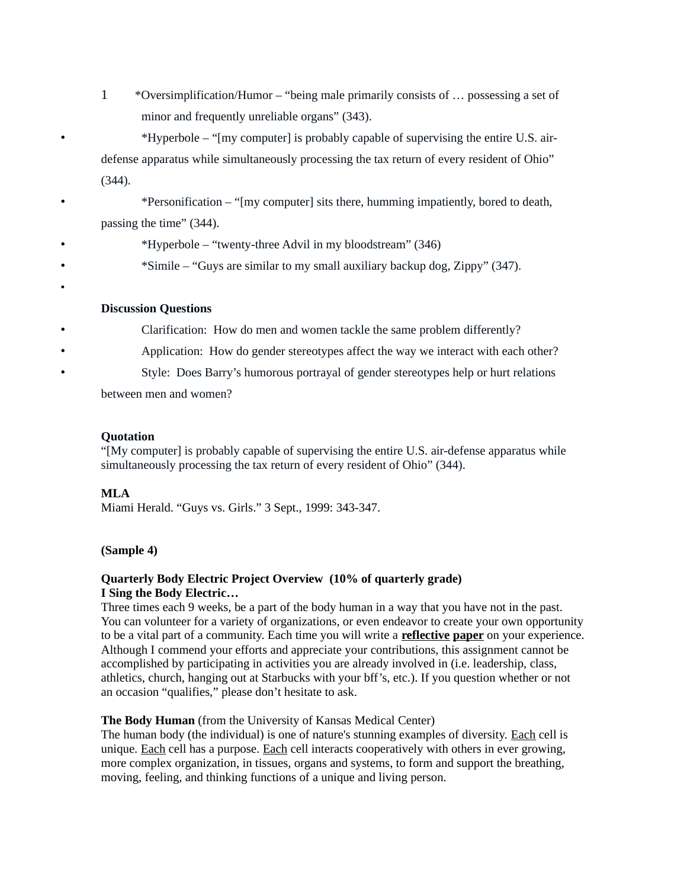1 \*Oversimplification/Humor – "being male primarily consists of … possessing a set of minor and frequently unreliable organs" (343).

• \*Hyperbole – "[my computer] is probably capable of supervising the entire U.S. airdefense apparatus while simultaneously processing the tax return of every resident of Ohio" (344).

• \*Personification – "[my computer] sits there, humming impatiently, bored to death, passing the time" (344).

- \*Hyperbole "twenty-three Advil in my bloodstream" (346)
- \*Simile "Guys are similar to my small auxiliary backup dog, Zippy" (347).

#### **Discussion Questions**

- Clarification: How do men and women tackle the same problem differently?
	- Application: How do gender stereotypes affect the way we interact with each other?
	- Style: Does Barry's humorous portrayal of gender stereotypes help or hurt relations

between men and women?

#### **Quotation**

"[My computer] is probably capable of supervising the entire U.S. air-defense apparatus while simultaneously processing the tax return of every resident of Ohio" (344).

#### **MLA**

•

Miami Herald. "Guys vs. Girls." 3 Sept., 1999: 343-347.

#### **(Sample 4)**

#### **Quarterly Body Electric Project Overview (10% of quarterly grade) I Sing the Body Electric…**

Three times each 9 weeks, be a part of the body human in a way that you have not in the past. You can volunteer for a variety of organizations, or even endeavor to create your own opportunity to be a vital part of a community. Each time you will write a **reflective paper** on your experience. Although I commend your efforts and appreciate your contributions, this assignment cannot be accomplished by participating in activities you are already involved in (i.e. leadership, class, athletics, church, hanging out at Starbucks with your bff's, etc.). If you question whether or not an occasion "qualifies," please don't hesitate to ask.

#### **The Body Human** (from the University of Kansas Medical Center)

The human body (the individual) is one of nature's stunning examples of diversity. Each cell is unique. Each cell has a purpose. Each cell interacts cooperatively with others in ever growing, more complex organization, in tissues, organs and systems, to form and support the breathing, moving, feeling, and thinking functions of a unique and living person.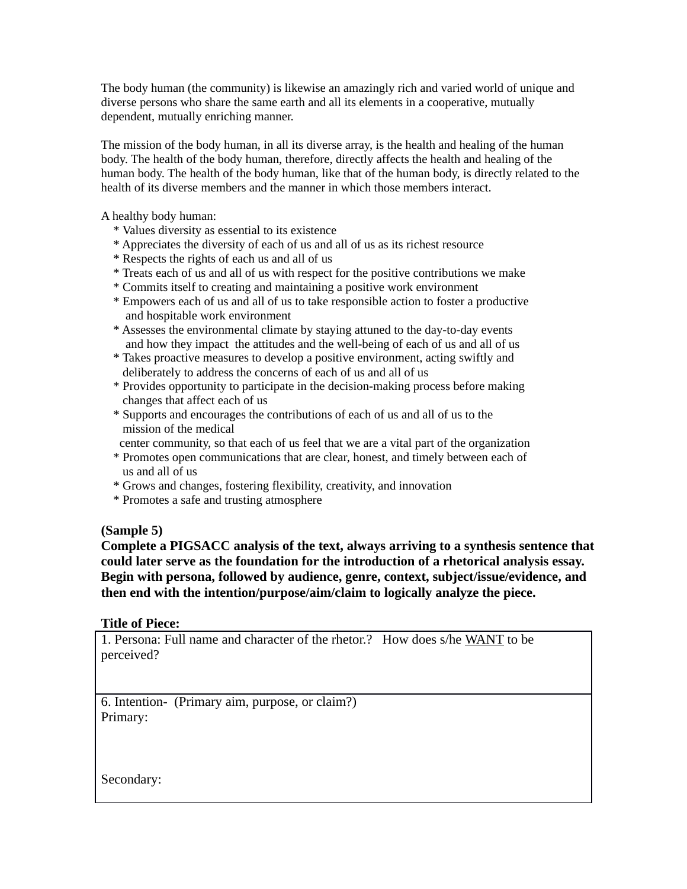The body human (the community) is likewise an amazingly rich and varied world of unique and diverse persons who share the same earth and all its elements in a cooperative, mutually dependent, mutually enriching manner.

The mission of the body human, in all its diverse array, is the health and healing of the human body. The health of the body human, therefore, directly affects the health and healing of the human body. The health of the body human, like that of the human body, is directly related to the health of its diverse members and the manner in which those members interact.

A healthy body human:

- \* Values diversity as essential to its existence
- \* Appreciates the diversity of each of us and all of us as its richest resource
- \* Respects the rights of each us and all of us
- \* Treats each of us and all of us with respect for the positive contributions we make
- \* Commits itself to creating and maintaining a positive work environment
- \* Empowers each of us and all of us to take responsible action to foster a productive and hospitable work environment
- \* Assesses the environmental climate by staying attuned to the day-to-day events and how they impact the attitudes and the well-being of each of us and all of us
- \* Takes proactive measures to develop a positive environment, acting swiftly and deliberately to address the concerns of each of us and all of us
- \* Provides opportunity to participate in the decision-making process before making changes that affect each of us
- \* Supports and encourages the contributions of each of us and all of us to the mission of the medical
- center community, so that each of us feel that we are a vital part of the organization
- \* Promotes open communications that are clear, honest, and timely between each of us and all of us
- \* Grows and changes, fostering flexibility, creativity, and innovation
- \* Promotes a safe and trusting atmosphere

## **(Sample 5)**

**Complete a PIGSACC analysis of the text, always arriving to a synthesis sentence that could later serve as the foundation for the introduction of a rhetorical analysis essay. Begin with persona, followed by audience, genre, context, subject/issue/evidence, and then end with the intention/purpose/aim/claim to logically analyze the piece.**

## **Title of Piece:**

1. Persona: Full name and character of the rhetor.? How does s/he WANT to be perceived?

6. Intention- (Primary aim, purpose, or claim?) Primary:

Secondary: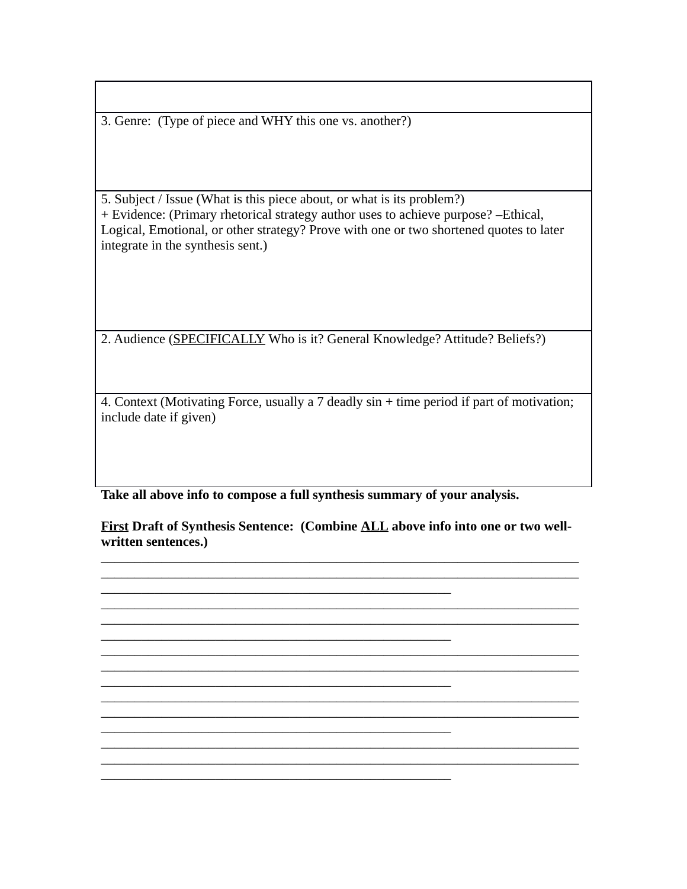3. Genre: (Type of piece and WHY this one vs. another?)

5. Subject / Issue (What is this piece about, or what is its problem?) + Evidence: (Primary rhetorical strategy author uses to achieve purpose? –Ethical, Logical, Emotional, or other strategy? Prove with one or two shortened quotes to later integrate in the synthesis sent.)

2. Audience (SPECIFICALLY Who is it? General Knowledge? Attitude? Beliefs?)

4. Context (Motivating Force, usually a 7 deadly sin + time period if part of motivation; include date if given)

**Take all above info to compose a full synthesis summary of your analysis.** 

\_\_\_\_\_\_\_\_\_\_\_\_\_\_\_\_\_\_\_\_\_\_\_\_\_\_\_\_\_\_\_\_\_\_\_\_\_\_\_\_\_\_\_\_\_\_\_\_\_\_\_\_

\_\_\_\_\_\_\_\_\_\_\_\_\_\_\_\_\_\_\_\_\_\_\_\_\_\_\_\_\_\_\_\_\_\_\_\_\_\_\_\_\_\_\_\_\_\_\_\_\_\_\_\_

\_\_\_\_\_\_\_\_\_\_\_\_\_\_\_\_\_\_\_\_\_\_\_\_\_\_\_\_\_\_\_\_\_\_\_\_\_\_\_\_\_\_\_\_\_\_\_\_\_\_\_\_

\_\_\_\_\_\_\_\_\_\_\_\_\_\_\_\_\_\_\_\_\_\_\_\_\_\_\_\_\_\_\_\_\_\_\_\_\_\_\_\_\_\_\_\_\_\_\_\_\_\_\_\_

\_\_\_\_\_\_\_\_\_\_\_\_\_\_\_\_\_\_\_\_\_\_\_\_\_\_\_\_\_\_\_\_\_\_\_\_\_\_\_\_\_\_\_\_\_\_\_\_\_\_\_\_

**First Draft of Synthesis Sentence: (Combine ALL above info into one or two wellwritten sentences.)** 

\_\_\_\_\_\_\_\_\_\_\_\_\_\_\_\_\_\_\_\_\_\_\_\_\_\_\_\_\_\_\_\_\_\_\_\_\_\_\_\_\_\_\_\_\_\_\_\_\_\_\_\_\_\_\_\_\_\_\_\_\_\_\_\_\_\_\_\_\_\_\_  $\_$  , and the set of the set of the set of the set of the set of the set of the set of the set of the set of the set of the set of the set of the set of the set of the set of the set of the set of the set of the set of th

\_\_\_\_\_\_\_\_\_\_\_\_\_\_\_\_\_\_\_\_\_\_\_\_\_\_\_\_\_\_\_\_\_\_\_\_\_\_\_\_\_\_\_\_\_\_\_\_\_\_\_\_\_\_\_\_\_\_\_\_\_\_\_\_\_\_\_\_\_\_\_ \_\_\_\_\_\_\_\_\_\_\_\_\_\_\_\_\_\_\_\_\_\_\_\_\_\_\_\_\_\_\_\_\_\_\_\_\_\_\_\_\_\_\_\_\_\_\_\_\_\_\_\_\_\_\_\_\_\_\_\_\_\_\_\_\_\_\_\_\_\_\_

 $\_$  , and the set of the set of the set of the set of the set of the set of the set of the set of the set of the set of the set of the set of the set of the set of the set of the set of the set of the set of the set of th \_\_\_\_\_\_\_\_\_\_\_\_\_\_\_\_\_\_\_\_\_\_\_\_\_\_\_\_\_\_\_\_\_\_\_\_\_\_\_\_\_\_\_\_\_\_\_\_\_\_\_\_\_\_\_\_\_\_\_\_\_\_\_\_\_\_\_\_\_\_\_

\_\_\_\_\_\_\_\_\_\_\_\_\_\_\_\_\_\_\_\_\_\_\_\_\_\_\_\_\_\_\_\_\_\_\_\_\_\_\_\_\_\_\_\_\_\_\_\_\_\_\_\_\_\_\_\_\_\_\_\_\_\_\_\_\_\_\_\_\_\_\_ \_\_\_\_\_\_\_\_\_\_\_\_\_\_\_\_\_\_\_\_\_\_\_\_\_\_\_\_\_\_\_\_\_\_\_\_\_\_\_\_\_\_\_\_\_\_\_\_\_\_\_\_\_\_\_\_\_\_\_\_\_\_\_\_\_\_\_\_\_\_\_

\_\_\_\_\_\_\_\_\_\_\_\_\_\_\_\_\_\_\_\_\_\_\_\_\_\_\_\_\_\_\_\_\_\_\_\_\_\_\_\_\_\_\_\_\_\_\_\_\_\_\_\_\_\_\_\_\_\_\_\_\_\_\_\_\_\_\_\_\_\_\_ \_\_\_\_\_\_\_\_\_\_\_\_\_\_\_\_\_\_\_\_\_\_\_\_\_\_\_\_\_\_\_\_\_\_\_\_\_\_\_\_\_\_\_\_\_\_\_\_\_\_\_\_\_\_\_\_\_\_\_\_\_\_\_\_\_\_\_\_\_\_\_